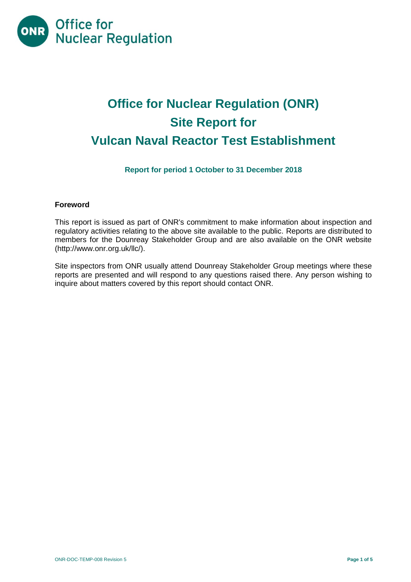

# **Office for Nuclear Regulation (ONR) Site Report for Vulcan Naval Reactor Test Establishment**

# **Report for period 1 October to 31 December 2018**

#### **Foreword**

This report is issued as part of ONR's commitment to make information about inspection and regulatory activities relating to the above site available to the public. Reports are distributed to members for the Dounreay Stakeholder Group and are also available on the ONR website [\(http://www.onr.org.uk/llc/\)](http://www.onr.org.uk/llc/).

Site inspectors from ONR usually attend Dounreay Stakeholder Group meetings where these reports are presented and will respond to any questions raised there. Any person wishing to inquire about matters covered by this report should contact ONR.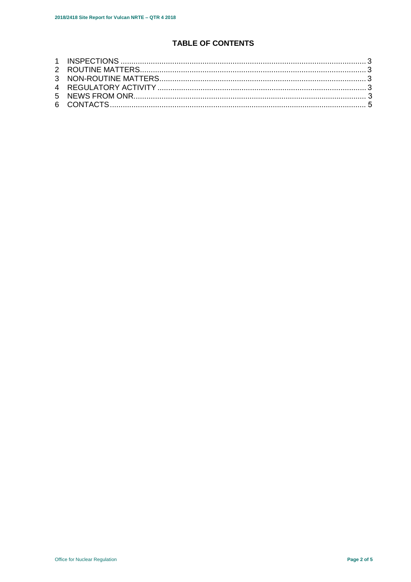# **TABLE OF CONTENTS**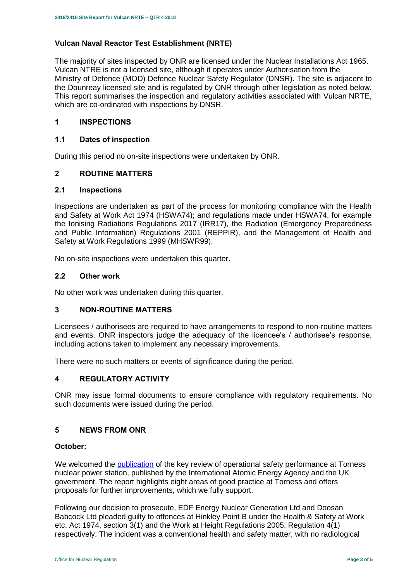# **Vulcan Naval Reactor Test Establishment (NRTE)**

The majority of sites inspected by ONR are licensed under the Nuclear Installations Act 1965. Vulcan NTRE is not a licensed site, although it operates under Authorisation from the Ministry of Defence (MOD) Defence Nuclear Safety Regulator (DNSR). The site is adjacent to the Dounreay licensed site and is regulated by ONR through other legislation as noted below. This report summarises the inspection and regulatory activities associated with Vulcan NRTE, which are co-ordinated with inspections by DNSR.

# <span id="page-2-0"></span>**1 INSPECTIONS**

#### **1.1 Dates of inspection**

During this period no on-site inspections were undertaken by ONR.

# <span id="page-2-1"></span>**2 ROUTINE MATTERS**

#### **2.1 Inspections**

Inspections are undertaken as part of the process for monitoring compliance with the Health and Safety at Work Act 1974 (HSWA74); and regulations made under HSWA74, for example the Ionising Radiations Regulations 2017 (IRR17), the Radiation (Emergency Preparedness and Public Information) Regulations 2001 (REPPIR), and the Management of Health and Safety at Work Regulations 1999 (MHSWR99).

No on-site inspections were undertaken this quarter.

#### **2.2 Other work**

No other work was undertaken during this quarter.

#### <span id="page-2-2"></span>**3 NON-ROUTINE MATTERS**

Licensees / authorisees are required to have arrangements to respond to non-routine matters and events. ONR inspectors judge the adequacy of the licencee's / authorisee's response, including actions taken to implement any necessary improvements.

There were no such matters or events of significance during the period.

#### <span id="page-2-3"></span>**4 REGULATORY ACTIVITY**

ONR may issue formal documents to ensure compliance with regulatory requirements. No such documents were issued during the period.

#### **5 NEWS FROM ONR**

#### **October:**

We welcomed the **publication** of the key review of operational safety performance at Torness nuclear power station, published by the International Atomic Energy Agency and the UK government. The report highlights eight areas of good practice at Torness and offers proposals for further improvements, which we fully support.

Following our decision to prosecute, EDF Energy Nuclear Generation Ltd and Doosan Babcock Ltd pleaded guilty to offences at Hinkley Point B under the Health & Safety at Work etc. Act 1974, section 3(1) and the Work at Height Regulations 2005, Regulation 4(1) respectively. The incident was a conventional health and safety matter, with no radiological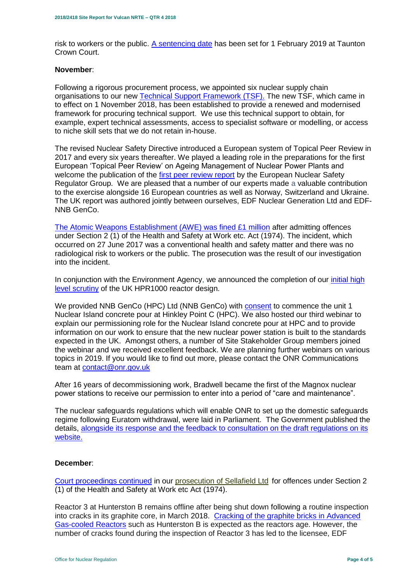risk to workers or the public. [A sentencing date](http://news.onr.org.uk/2018/10/edf-and-doosan-babcock-plead-guilty/) has been set for 1 February 2019 at Taunton Crown Court.

#### **November**:

Following a rigorous procurement process, we appointed six nuclear supply chain organisations to our new [Technical Support Framework \(TSF\).](http://news.onr.org.uk/2018/11/new-technical-support-framework-announced/) The new TSF, which came in to effect on 1 November 2018, has been established to provide a renewed and modernised framework for procuring technical support. We use this technical support to obtain, for example, expert technical assessments, access to specialist software or modelling, or access to niche skill sets that we do not retain in-house.

The revised Nuclear Safety Directive introduced a European system of Topical Peer Review in 2017 and every six years thereafter. We played a leading role in the preparations for the first European 'Topical Peer Review' on Ageing Management of Nuclear Power Plants and welcome the publication of the [first peer review report](http://news.onr.org.uk/2018/11/onr-welcomes-first-topical-peer-review/) by the European Nuclear Safety Regulator Group. We are pleased that a number of our experts made a valuable contribution to the exercise alongside 16 European countries as well as Norway, Switzerland and Ukraine. The UK report was authored jointly between ourselves, EDF Nuclear Generation Ltd and EDF-NNB GenCo.

[The Atomic Weapons Establishment \(AWE\) was fined £1 million](http://news.onr.org.uk/2018/11/awe-prosecution-reaction/) after admitting offences under Section 2 (1) of the Health and Safety at Work etc. Act (1974). The incident, which occurred on 27 June 2017 was a conventional health and safety matter and there was no radiological risk to workers or the public. The prosecution was the result of our investigation into the incident.

In conjunction with the Environment Agency, we announced the completion of our *initial high* [level scrutiny](http://news.onr.org.uk/2018/11/uk-hpr1000-completes-gda-step-2/) of the UK HPR1000 reactor design.

We provided NNB GenCo (HPC) Ltd (NNB GenCo) with [consent](http://news.onr.org.uk/2018/11/consent-for-hinkley-point-c-nuclear-island-concrete-pour/) to commence the unit 1 Nuclear Island concrete pour at Hinkley Point C (HPC). We also hosted our third webinar to explain our permissioning role for the Nuclear Island concrete pour at HPC and to provide information on our work to ensure that the new nuclear power station is built to the standards expected in the UK. Amongst others, a number of Site Stakeholder Group members joined the webinar and we received excellent feedback. We are planning further webinars on various topics in 2019. If you would like to find out more, please contact the ONR Communications team at [contact@onr.gov.uk](mailto:contact@onr.gov.uk)

After 16 years of decommissioning work, Bradwell became the first of the Magnox nuclear power stations to receive our permission to enter into a period of "care and maintenance".

The nuclear safeguards regulations which will enable ONR to set up the domestic safeguards regime following Euratom withdrawal, were laid in Parliament. The Government published the details, [alongside its response and the feedback to consultation on the draft regulations on its](https://www.gov.uk/government/consultations/nuclear-safeguards-regulations)  [website.](https://www.gov.uk/government/consultations/nuclear-safeguards-regulations)

#### **December**:

[Court proceedings continued](http://news.onr.org.uk/2018/12/prosecution-of-sellafield-ltd/) in our [prosecution of Sellafield Ltd](http://news.onr.org.uk/2018/07/update-prosecution-of-sellafield-ltd/) for offences under Section 2 (1) of the Health and Safety at Work etc Act (1974).

Reactor 3 at Hunterston B remains offline after being shut down following a routine inspection into cracks in its graphite core, in March 2018. [Cracking of the graphite bricks in Advanced](http://www.onr.org.uk/civil-nuclear-reactors/graphite-core-of-agrs.htm)  [Gas-cooled Reactors](http://www.onr.org.uk/civil-nuclear-reactors/graphite-core-of-agrs.htm) such as Hunterston B is expected as the reactors age. However, the number of cracks found during the inspection of Reactor 3 has led to the licensee, EDF